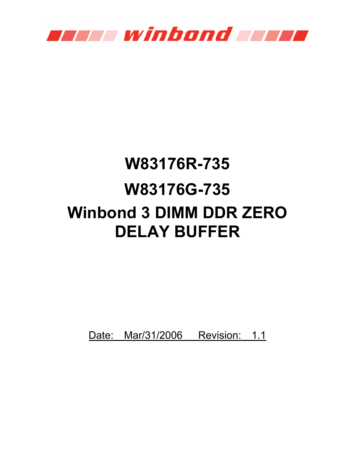

# **W83176R-735 W83176G-735 Winbond 3 DIMM DDR ZERO DELAY BUFFER**

Date: Mar/31/2006 Revision: 1.1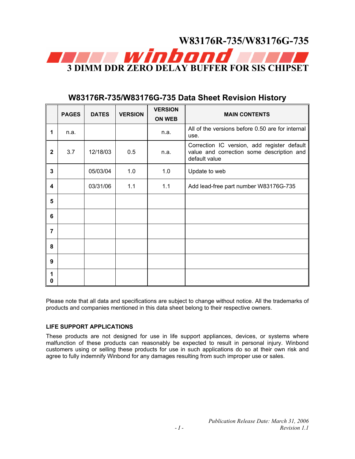

|              | <b>PAGES</b> | <b>DATES</b> | <b>VERSION</b> | <b>VERSION</b><br><b>ON WEB</b> | <b>MAIN CONTENTS</b>                                                                                      |
|--------------|--------------|--------------|----------------|---------------------------------|-----------------------------------------------------------------------------------------------------------|
| 1            | n.a.         |              |                | n.a.                            | All of the versions before 0.50 are for internal<br>use.                                                  |
| $\mathbf{2}$ | 3.7          | 12/18/03     | 0.5            | n.a.                            | Correction IC version, add register default<br>value and correction some description and<br>default value |
| 3            |              | 05/03/04     | 1.0            | 1.0                             | Update to web                                                                                             |
| 4            |              | 03/31/06     | 1.1            | 1.1                             | Add lead-free part number W83176G-735                                                                     |
| 5            |              |              |                |                                 |                                                                                                           |
| 6            |              |              |                |                                 |                                                                                                           |
| 7            |              |              |                |                                 |                                                                                                           |
| 8            |              |              |                |                                 |                                                                                                           |
| 9            |              |              |                |                                 |                                                                                                           |
| 1<br>0       |              |              |                |                                 |                                                                                                           |

# **W83176R-735/W83176G-735 Data Sheet Revision History**

Please note that all data and specifications are subject to change without notice. All the trademarks of products and companies mentioned in this data sheet belong to their respective owners.

#### **LIFE SUPPORT APPLICATIONS**

These products are not designed for use in life support appliances, devices, or systems where malfunction of these products can reasonably be expected to result in personal injury. Winbond customers using or selling these products for use in such applications do so at their own risk and agree to fully indemnify Winbond for any damages resulting from such improper use or sales.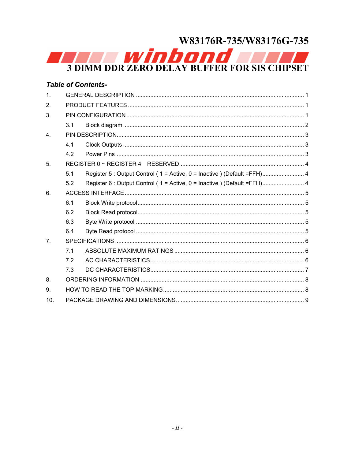# W83176R-735/W83176G-735

**SUMM DDR ZERO DELAY BUFFER FOR SIS CHIPSET** 

|                  |     | <b>Table of Contents-</b>                                                |  |  |  |  |
|------------------|-----|--------------------------------------------------------------------------|--|--|--|--|
| $\mathbf{1}$ .   |     |                                                                          |  |  |  |  |
| 2.               |     |                                                                          |  |  |  |  |
| 3.               |     |                                                                          |  |  |  |  |
|                  | 3.1 |                                                                          |  |  |  |  |
| $\overline{4}$ . |     |                                                                          |  |  |  |  |
|                  | 4.1 |                                                                          |  |  |  |  |
|                  | 4.2 |                                                                          |  |  |  |  |
| 5.               |     |                                                                          |  |  |  |  |
|                  | 5.1 | Register 5 : Output Control (1 = Active, 0 = Inactive ) (Default =FFH) 4 |  |  |  |  |
|                  | 5.2 | Register 6 : Output Control (1 = Active, 0 = Inactive) (Default = FFH) 4 |  |  |  |  |
| 6.               |     |                                                                          |  |  |  |  |
|                  | 6.1 |                                                                          |  |  |  |  |
|                  | 6.2 |                                                                          |  |  |  |  |
|                  | 6.3 |                                                                          |  |  |  |  |
|                  | 6.4 |                                                                          |  |  |  |  |
| 7 <sub>1</sub>   |     |                                                                          |  |  |  |  |
|                  | 7.1 |                                                                          |  |  |  |  |
|                  | 72  |                                                                          |  |  |  |  |
|                  | 7.3 |                                                                          |  |  |  |  |
| 8.               |     |                                                                          |  |  |  |  |
| 9.               |     |                                                                          |  |  |  |  |
| 10.              |     |                                                                          |  |  |  |  |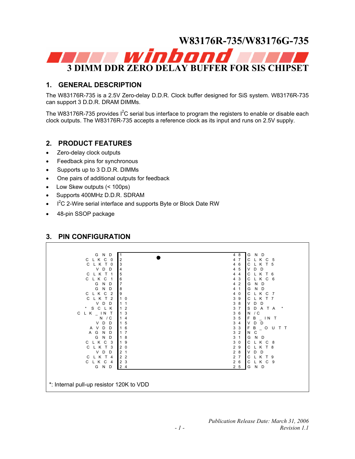

#### **1. GENERAL DESCRIPTION**

The W83176R-735 is a 2.5V Zero-delay D.D.R. Clock buffer designed for SiS system. W83176R-735 can support 3 D.D.R. DRAM DIMMs.

The W83176R-735 provides  $I^2C$  serial bus interface to program the registers to enable or disable each clock outputs. The W83176R-735 accepts a reference clock as its input and runs on 2.5V supply.

#### **2. PRODUCT FEATURES**

- Zero-delay clock outputs
- Feedback pins for synchronous
- Supports up to 3 D.D.R. DIMMs
- One pairs of additional outputs for feedback
- Low Skew outputs (< 100ps)
- Supports 400MHz D.D.R. SDRAM
- $\cdot$  I<sup>2</sup>C 2-Wire serial interface and supports Byte or Block Date RW
- 48-pin SSOP package

Г

### **3. PIN CONFIGURATION**

| N<br>G<br>D<br>-1                                                   | G<br>4 8<br>N D                                   |  |  |  |  |
|---------------------------------------------------------------------|---------------------------------------------------|--|--|--|--|
| $\overline{2}$<br>L K<br>C<br>C<br>0                                | C<br>$\overline{7}$<br>LKC 5<br>4                 |  |  |  |  |
| L K<br>$\mathsf{C}$<br>т<br>3<br>0                                  | C<br>LKT5<br>6<br>4                               |  |  |  |  |
| V<br>D<br>D<br>$\overline{4}$                                       | $\vee$<br>5<br>D<br>D<br>4                        |  |  |  |  |
| 5<br>C L K T 1                                                      | K T 6<br>С<br>$\overline{4}$<br>4                 |  |  |  |  |
| C L K<br>6<br>C                                                     | LKC6<br>3<br>C<br>4                               |  |  |  |  |
| $\overline{7}$<br>N<br>G<br>D                                       | G<br>N D<br>$\overline{2}$<br>4                   |  |  |  |  |
| 8<br>N<br>D<br>G                                                    | N D<br>G<br>4<br>$\mathbf{1}$                     |  |  |  |  |
| 9<br>L K<br>C<br>$\overline{2}$<br>$\mathbf{C}$                     | C<br>LKC7<br>4<br>0                               |  |  |  |  |
| C<br>L K<br>$\overline{2}$<br>$\mathbf{1}$<br>т<br>0                | LKT7<br>3<br>9<br>$\mathsf{C}$                    |  |  |  |  |
| V<br>D<br>D<br>$\mathbf{1}$<br>1                                    | 3<br>V<br>D<br>8<br>D                             |  |  |  |  |
| C L K<br>$\star$<br>S<br>$\overline{2}$                             | 3<br>$\overline{7}$<br>S<br>A T A<br>D<br>$\star$ |  |  |  |  |
| 3<br>C<br>$LK$ $\_$ $\_$ $\_$ $\_$ $\_$                             | 3<br>6<br>N<br>/ C                                |  |  |  |  |
| Ν<br>/ C<br>4                                                       | 3<br>F<br>$\sqrt{5}$<br>B<br>$\_ IN$ T            |  |  |  |  |
| D<br>5<br>V<br>D<br>$\mathbf{1}$                                    | 3<br>$\overline{4}$<br>D<br>V<br>D                |  |  |  |  |
| A V<br>D<br>6<br>D<br>$\overline{1}$                                | 3<br>F<br>3<br>B<br>O<br>U<br>T T                 |  |  |  |  |
| G<br>$\overline{7}$<br>N<br>D<br>$\mathsf{A}$<br>$\mathbf{1}$       | 3<br>$\overline{2}$<br>N<br>С                     |  |  |  |  |
| G<br>D<br>$\mathsf{N}$<br>8<br>$\vert$ 1                            | 3<br>G<br>$\mathbf{1}$<br>N<br>D                  |  |  |  |  |
| C<br>9<br>C L K<br>3<br>1                                           | 3<br>$\mathbf 0$<br>C<br>K C 8                    |  |  |  |  |
| C<br>3<br>$\overline{2}$<br>0<br>К<br>$\mathsf{L}$                  | 2<br>C<br>L K T 8<br>9                            |  |  |  |  |
| D<br>$\overline{2}$<br>V<br>D<br>1                                  | $\overline{2}$<br>8<br>V<br>D<br>D                |  |  |  |  |
| $\overline{2}$<br>C L<br>$\overline{2}$<br>К<br>т<br>$\overline{4}$ | $\overline{c}$<br>$\overline{7}$<br>С<br>K T 9    |  |  |  |  |
| $\mathbf{3}$<br>C L K<br>C<br>$\overline{2}$<br>$\overline{4}$      | 26<br>C<br>LKC 9                                  |  |  |  |  |
| N D<br>G<br>24                                                      | G<br>N D<br>2 <sub>5</sub>                        |  |  |  |  |
|                                                                     |                                                   |  |  |  |  |
|                                                                     |                                                   |  |  |  |  |
| *: Internal pull-up resistor 120K to VDD                            |                                                   |  |  |  |  |
|                                                                     |                                                   |  |  |  |  |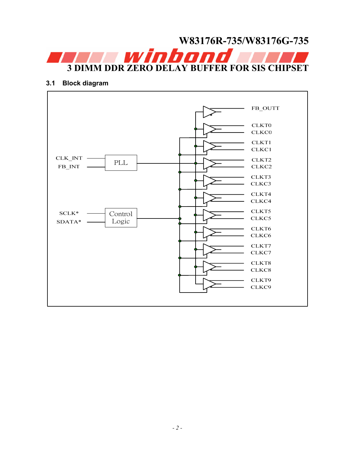# **W83176R-735/W83176G-735 3 DIMM DDR ZERO DELAY BUFFER FOR SIS CHIPSET**

#### **3.1 Block diagram**

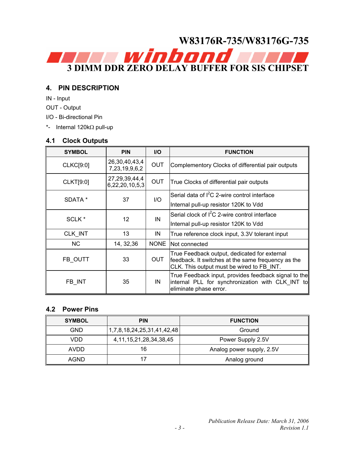

#### **4. PIN DESCRIPTION**

IN - Input

- OUT Output
- I/O Bi-directional Pin

\*- Internal 120kΩ pull-up

#### **4.1 Clock Outputs**

| <b>SYMBOL</b>     | <b>PIN</b>                          | <b>I/O</b>  | <b>FUNCTION</b>                                                                                                                                 |
|-------------------|-------------------------------------|-------------|-------------------------------------------------------------------------------------------------------------------------------------------------|
| <b>CLKC[9:0]</b>  | 26,30,40,43,4<br>7,23,19,9,6,2      | <b>OUT</b>  | Complementory Clocks of differential pair outputs                                                                                               |
| <b>CLKT[9:0]</b>  | 27, 29, 39, 44, 4<br>6,22,20,10,5,3 | <b>OUT</b>  | True Clocks of differential pair outputs                                                                                                        |
| SDATA *           | 37                                  | 1/O         | Serial data of I <sup>2</sup> C 2-wire control interface                                                                                        |
|                   |                                     |             | Internal pull-up resistor 120K to Vdd                                                                                                           |
| SCLK <sup>*</sup> | 12                                  | IN          | Serial clock of $I^2C$ 2-wire control interface                                                                                                 |
|                   |                                     |             | Internal pull-up resistor 120K to Vdd                                                                                                           |
| CLK_INT           | 13                                  | IN          | True reference clock input, 3.3V tolerant input                                                                                                 |
| <b>NC</b>         | 14, 32, 36                          | <b>NONE</b> | Not connected                                                                                                                                   |
| FB OUTT           | 33                                  | <b>OUT</b>  | True Feedback output, dedicated for external<br>feedback. It switches at the same frequency as the<br>CLK. This output must be wired to FB INT. |
| FB INT            | 35                                  | IN          | True Feedback input, provides feedback signal to the<br>internal PLL for synchronization with CLK INT to<br>eliminate phase error.              |

#### **4.2 Power Pins**

| <b>SYMBOL</b> | <b>PIN</b>                    | <b>FUNCTION</b>           |  |  |
|---------------|-------------------------------|---------------------------|--|--|
| GND           | 1,7,8,18,24,25,31,41,42,48    | Ground                    |  |  |
| VDD           | 4, 11, 15, 21, 28, 34, 38, 45 | Power Supply 2.5V         |  |  |
| AVDD          | 16                            | Analog power supply, 2.5V |  |  |
| AGND          |                               | Analog ground             |  |  |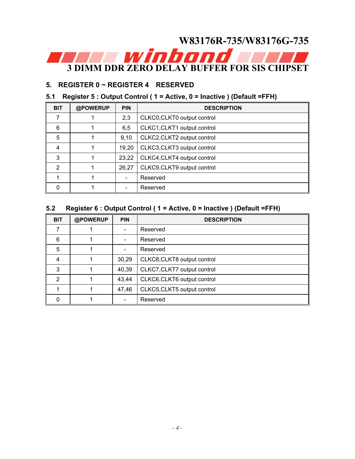# **W83176R-735/W83176G-735 3 DIMM DDR ZERO DELAY BUFFER FOR SIS CHIPSET**

### **5. REGISTER 0 ~ REGISTER 4 RESERVED**

## **5.1 Register 5 : Output Control ( 1 = Active, 0 = Inactive ) (Default =FFH)**

| <b>BIT</b> | @POWERUP | <b>PIN</b> | <b>DESCRIPTION</b>          |  |  |  |
|------------|----------|------------|-----------------------------|--|--|--|
|            |          | 2,3        | CLKC0, CLKT0 output control |  |  |  |
| 6          |          | 6,5        | CLKC1, CLKT1 output control |  |  |  |
| 5          |          | 9,10       | CLKC2, CLKT2 output control |  |  |  |
| 4          |          | 19,20      | CLKC3, CLKT3 output control |  |  |  |
| 3          |          | 23,22      | CLKC4, CLKT4 output control |  |  |  |
| 2          |          | 26,27      | CLKC9, CLKT9 output control |  |  |  |
|            |          |            | Reserved                    |  |  |  |
| ŋ          |          |            | Reserved                    |  |  |  |

# **5.2 Register 6 : Output Control ( 1 = Active, 0 = Inactive ) (Default =FFH)**

| <b>BIT</b> | @POWERUP | <b>PIN</b>               | <b>DESCRIPTION</b>          |  |
|------------|----------|--------------------------|-----------------------------|--|
|            |          | $\overline{\phantom{a}}$ | Reserved                    |  |
| 6          |          | $\overline{\phantom{a}}$ | Reserved                    |  |
| 5          |          | $\blacksquare$           | Reserved                    |  |
| 4          |          | 30,29                    | CLKC8, CLKT8 output control |  |
| 3          |          | 40,39                    | CLKC7, CLKT7 output control |  |
| 2          |          | 43,44                    | CLKC6, CLKT6 output control |  |
|            |          | 47,46                    | CLKC5, CLKT5 output control |  |
| $\Omega$   |          | $\blacksquare$           | Reserved                    |  |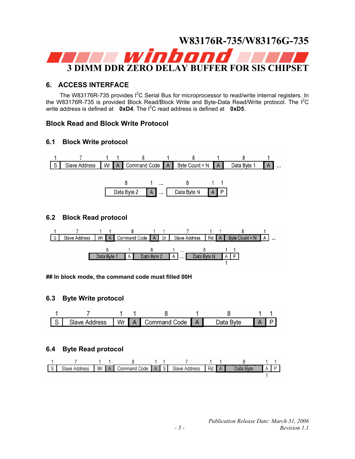

#### **6. ACCESS INTERFACE**

The W83176R-735 provides  $I^2C$  Serial Bus for microprocessor to read/write internal registers. In the W83176R-735 is provided Block Read/Block Write and Byte-Data Read/Write protocol. The  $I^2C$ write address is defined at **0xD4**. The  $I^2C$  read address is defined at **0xD5**.

#### **Block Read and Block Write Protocol**

#### **6.1 Block Write protocol**



#### **6.2 Block Read protocol**



**## In block mode, the command code must filled 00H** 

#### **6.3 Byte Write protocol**



#### **6.4 Byte Read protocol**

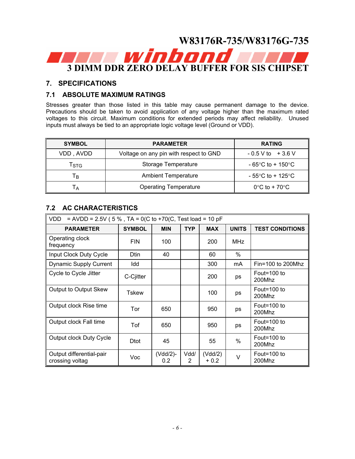

#### **7. SPECIFICATIONS**

#### **7.1 ABSOLUTE MAXIMUM RATINGS**

Stresses greater than those listed in this table may cause permanent damage to the device. Precautions should be taken to avoid application of any voltage higher than the maximum rated voltages to this circuit. Maximum conditions for extended periods may affect reliability. Unused inputs must always be tied to an appropriate logic voltage level (Ground or VDD).

| <b>SYMBOL</b> | <b>PARAMETER</b>                       |                                       |  |  |
|---------------|----------------------------------------|---------------------------------------|--|--|
| VDD, AVDD     | Voltage on any pin with respect to GND | $-0.5$ V to $+3.6$ V                  |  |  |
| Tstg          | Storage Temperature                    | $-65^{\circ}$ C to + 150 $^{\circ}$ C |  |  |
| Tв            | <b>Ambient Temperature</b>             | $-55^{\circ}$ C to + 125 $^{\circ}$ C |  |  |
| $\mathsf{A}$  | <b>Operating Temperature</b>           | $0^{\circ}$ C to + 70 $^{\circ}$ C    |  |  |

### **7.2 AC CHARACTERISTICS**

| VDD<br>= AVDD = 2.5V ( $5\%$ , TA = 0(C to +70(C, Test load = 10 pF |               |                              |            |                  |               |                        |
|---------------------------------------------------------------------|---------------|------------------------------|------------|------------------|---------------|------------------------|
| <b>PARAMETER</b>                                                    | <b>SYMBOL</b> | <b>MIN</b>                   | <b>TYP</b> | <b>MAX</b>       | <b>UNITS</b>  | <b>TEST CONDITIONS</b> |
| Operating clock<br>frequency                                        | <b>FIN</b>    | 100                          |            | 200              | <b>MHz</b>    |                        |
| Input Clock Duty Cycle                                              | Dtin          | 40                           |            | 60               | $\%$          |                        |
| <b>Dynamic Supply Current</b>                                       | Idd           |                              |            | 300              | mA            | $Fin=100$ to 200Mhz    |
| Cycle to Cycle Jitter                                               | C-Cjitter     |                              |            | 200              | ps            | Fout=100 to<br>200Mhz  |
| Output to Output Skew                                               | Tskew         |                              |            | 100              | ps            | Fout=100 to<br>200Mhz  |
| Output clock Rise time                                              | Tor           | 650                          |            | 950              | ps            | Fout=100 to<br>200Mhz  |
| Output clock Fall time                                              | Tof           | 650                          |            | 950              | ps            | Fout=100 to<br>200Mhz  |
| Output clock Duty Cycle                                             | <b>D</b> tot  | 45                           |            | 55               | $\frac{0}{0}$ | Fout=100 to<br>200Mhz  |
| Output differential-pair<br>crossing voltag                         | Voc           | (Vdd/2)-<br>0.2 <sub>0</sub> | Vdd/<br>2  | (Vdd/2)<br>+ 0.2 | V             | Fout=100 to<br>200Mhz  |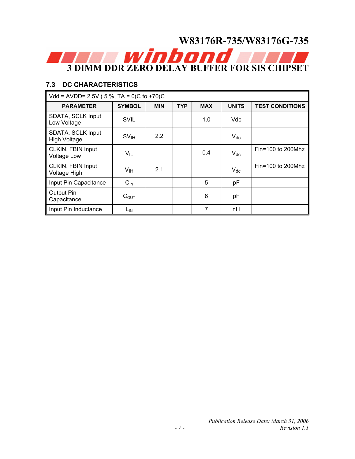# **W83176R-735/W83176G-735 3 DIMM DDR ZERO DELAY BUFFER FOR SIS CHIPSET**

## **7.3 DC CHARACTERISTICS**

| Vdd = AVDD= 2.5V ( $5\%$ , TA = 0(C to +70(C) |                  |            |            |            |              |                        |
|-----------------------------------------------|------------------|------------|------------|------------|--------------|------------------------|
| <b>PARAMETER</b>                              | <b>SYMBOL</b>    | <b>MIN</b> | <b>TYP</b> | <b>MAX</b> | <b>UNITS</b> | <b>TEST CONDITIONS</b> |
| SDATA, SCLK Input<br>Low Voltage              | <b>SVIL</b>      |            |            | 1.0        | Vdc          |                        |
| SDATA, SCLK Input<br><b>High Voltage</b>      | SV <sub>IH</sub> | 2.2        |            |            | $V_{dc}$     |                        |
| CLKIN, FBIN Input<br><b>Voltage Low</b>       | $V_{IL}$         |            |            | 0.4        | $V_{dc}$     | $Fin=100$ to 200Mhz    |
| CLKIN, FBIN Input<br><b>Voltage High</b>      | V <sub>IH</sub>  | 2.1        |            |            | $V_{dc}$     | $Fin=100$ to 200Mhz    |
| Input Pin Capacitance                         | $C_{\text{IN}}$  |            |            | 5          | pF           |                        |
| <b>Output Pin</b><br>Capacitance              | $C_{\text{OUT}}$ |            |            | 6          | рF           |                        |
| Input Pin Inductance                          | L <sub>IN</sub>  |            |            | 7          | nH           |                        |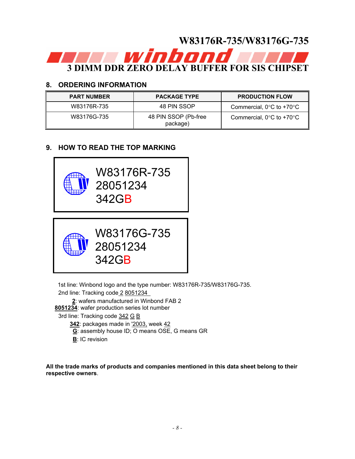

### **8. ORDERING INFORMATION**

| <b>PART NUMBER</b> | <b>PACKAGE TYPE</b>              | <b>PRODUCTION FLOW</b>                        |
|--------------------|----------------------------------|-----------------------------------------------|
| W83176R-735        | 48 PIN SSOP                      | Commercial, $0^{\circ}$ C to +70 $^{\circ}$ C |
| W83176G-735        | 48 PIN SSOP (Pb-free<br>package) | Commercial, $0^{\circ}$ C to +70 $^{\circ}$ C |

# **9. HOW TO READ THE TOP MARKING**



 1st line: Winbond logo and the type number: W83176R-735/W83176G-735. 2nd line: Tracking code 2 8051234

 **2**: wafers manufactured in Winbond FAB 2

**8051234**: wafer production series lot number

3rd line: Tracking code 342 G B

- **342**: packages made in '2003, week 42
- **G**: assembly house ID; O means OSE, G means GR
- **B**: IC revision

**All the trade marks of products and companies mentioned in this data sheet belong to their respective owners**.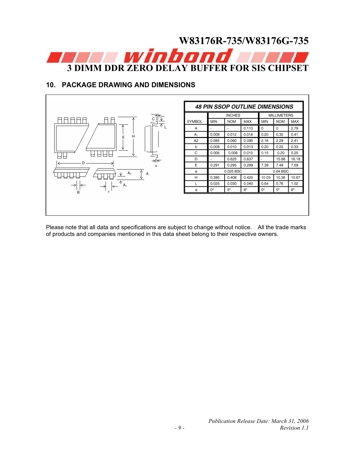# **W83176R-735/W83176G-735 3 DIMM DDR ZERO DELAY BUFFER FOR SIS CHIPSE**

# **10. PACKAGE DRAWING AND DIMENSIONS**



Please note that all data and specifications are subject to change without notice. All the trade marks of products and companies mentioned in this data sheet belong to their respective owners.